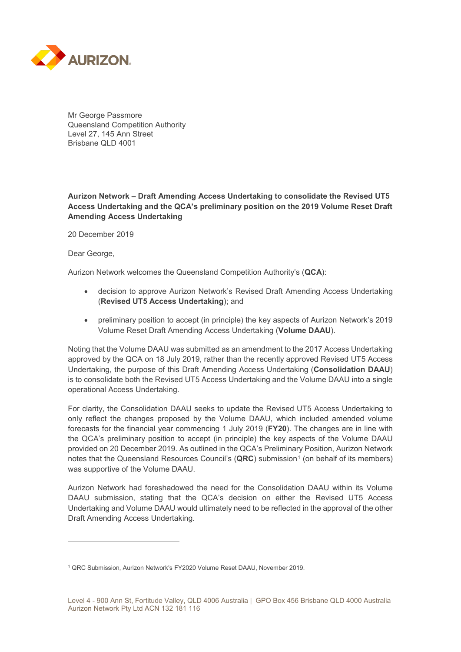

Mr George Passmore Queensland Competition Authority Level 27, 145 Ann Street Brisbane QLD 4001

## **Aurizon Network – Draft Amending Access Undertaking to consolidate the Revised UT5 Access Undertaking and the QCA's preliminary position on the 2019 Volume Reset Draft Amending Access Undertaking**

20 December 2019

Dear George,

 $\overline{a}$ 

Aurizon Network welcomes the Queensland Competition Authority's (**QCA**):

- decision to approve Aurizon Network's Revised Draft Amending Access Undertaking (**Revised UT5 Access Undertaking**); and
- preliminary position to accept (in principle) the key aspects of Aurizon Network's 2019 Volume Reset Draft Amending Access Undertaking (**Volume DAAU**).

Noting that the Volume DAAU was submitted as an amendment to the 2017 Access Undertaking approved by the QCA on 18 July 2019, rather than the recently approved Revised UT5 Access Undertaking, the purpose of this Draft Amending Access Undertaking (**Consolidation DAAU**) is to consolidate both the Revised UT5 Access Undertaking and the Volume DAAU into a single operational Access Undertaking.

For clarity, the Consolidation DAAU seeks to update the Revised UT5 Access Undertaking to only reflect the changes proposed by the Volume DAAU, which included amended volume forecasts for the financial year commencing 1 July 2019 (**FY20**). The changes are in line with the QCA's preliminary position to accept (in principle) the key aspects of the Volume DAAU provided on 20 December 2019. As outlined in the QCA's Preliminary Position, Aurizon Network notes that the Queensland Resources Council's (QRC) submission<sup>[1](#page-0-0)</sup> (on behalf of its members) was supportive of the Volume DAAU.

Aurizon Network had foreshadowed the need for the Consolidation DAAU within its Volume DAAU submission, stating that the QCA's decision on either the Revised UT5 Access Undertaking and Volume DAAU would ultimately need to be reflected in the approval of the other Draft Amending Access Undertaking.

<span id="page-0-0"></span><sup>1</sup> QRC Submission, Aurizon Network's FY2020 Volume Reset DAAU, November 2019.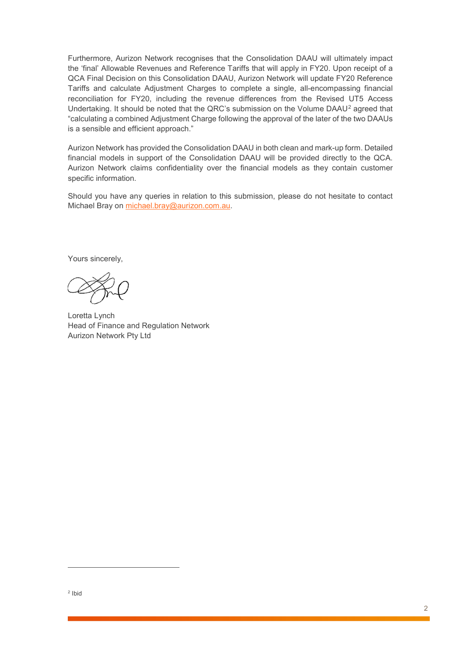Furthermore, Aurizon Network recognises that the Consolidation DAAU will ultimately impact the 'final' Allowable Revenues and Reference Tariffs that will apply in FY20. Upon receipt of a QCA Final Decision on this Consolidation DAAU, Aurizon Network will update FY20 Reference Tariffs and calculate Adjustment Charges to complete a single, all-encompassing financial reconciliation for FY20, including the revenue differences from the Revised UT5 Access Undertaking. It should be noted that the QRC's submission on the Volume DAAU[2](#page-1-0) agreed that "calculating a combined Adjustment Charge following the approval of the later of the two DAAUs is a sensible and efficient approach."

Aurizon Network has provided the Consolidation DAAU in both clean and mark-up form. Detailed financial models in support of the Consolidation DAAU will be provided directly to the QCA. Aurizon Network claims confidentiality over the financial models as they contain customer specific information.

Should you have any queries in relation to this submission, please do not hesitate to contact Michael Bray on [michael.bray@aurizon.com.au.](mailto:michael.bray@aurizon.com.au)

Yours sincerely,

Loretta Lynch Head of Finance and Regulation Network Aurizon Network Pty Ltd

<span id="page-1-0"></span> $\overline{a}$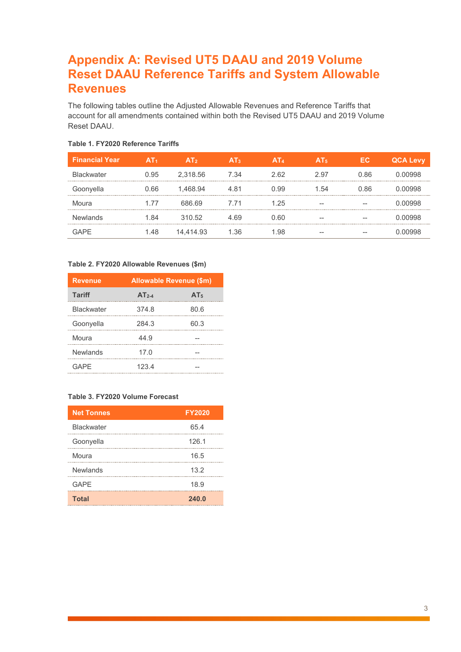# **Appendix A: Revised UT5 DAAU and 2019 Volume Reset DAAU Reference Tariffs and System Allowable Revenues**

The following tables outline the Adjusted Allowable Revenues and Reference Tariffs that account for all amendments contained within both the Revised UT5 DAAU and 2019 Volume Reset DAAU.

| <b>Financial Year</b> | A I 1 | AT <sub>2</sub> | A13  | AT <sub>4</sub> | A15  | EC.  | <b>QCA Levy</b> |
|-----------------------|-------|-----------------|------|-----------------|------|------|-----------------|
| <b>Blackwater</b>     | ი 95  | 2,318.56        | 7 34 | 2 62            | 2.97 | N 86 |                 |
| Goonyella             | 66    | 1.468.94        |      | -99             | 54   | 86   |                 |
| Moura                 | 177   | 686.69          | 7 71 | .25             |      |      |                 |
| Newlands              |       | 310.52          | 69   | -60             |      |      |                 |
|                       |       | 14.414.93       | 36   |                 |      |      |                 |

### **Table 1. FY2020 Reference Tariffs**

#### **Table 2. FY2020 Allowable Revenues (\$m)**

| <b>Revenue</b>    | <b>Allowable Revenue (\$m)</b> |                 |  |  |
|-------------------|--------------------------------|-----------------|--|--|
| <b>Tariff</b>     | $AT2-4$                        | AT <sub>5</sub> |  |  |
| <b>Blackwater</b> | 374.8                          | 80.6            |  |  |
| Goonyella         | 284.3                          | 60.3            |  |  |
| Moura             | 44.9                           |                 |  |  |
| Newlands          | 17.0                           |                 |  |  |
| <b>GAPE</b>       | 123.4                          |                 |  |  |

### **Table 3. FY2020 Volume Forecast**

| <b>Net Tonnes</b> | <b>FY2020</b> |
|-------------------|---------------|
| <b>Blackwater</b> | 65.4          |
| Goonyella         | 126.1         |
| Moura             | 16.5          |
| <b>Newlands</b>   | 13.2          |
| <b>GAPE</b>       | 18.9          |
| <b>Total</b>      | 240.0         |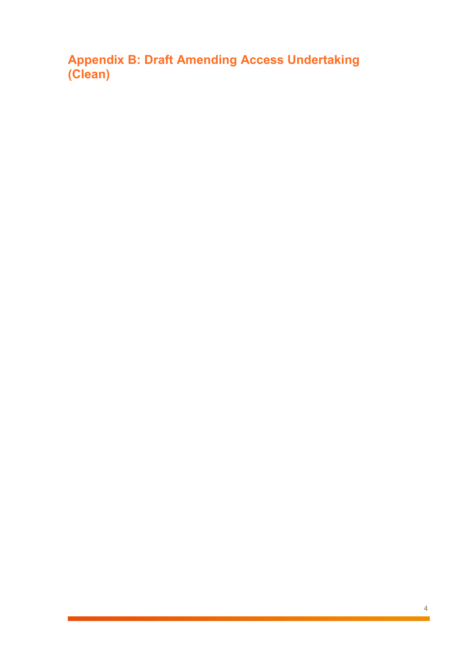**Appendix B: Draft Amending Access Undertaking (Clean)**